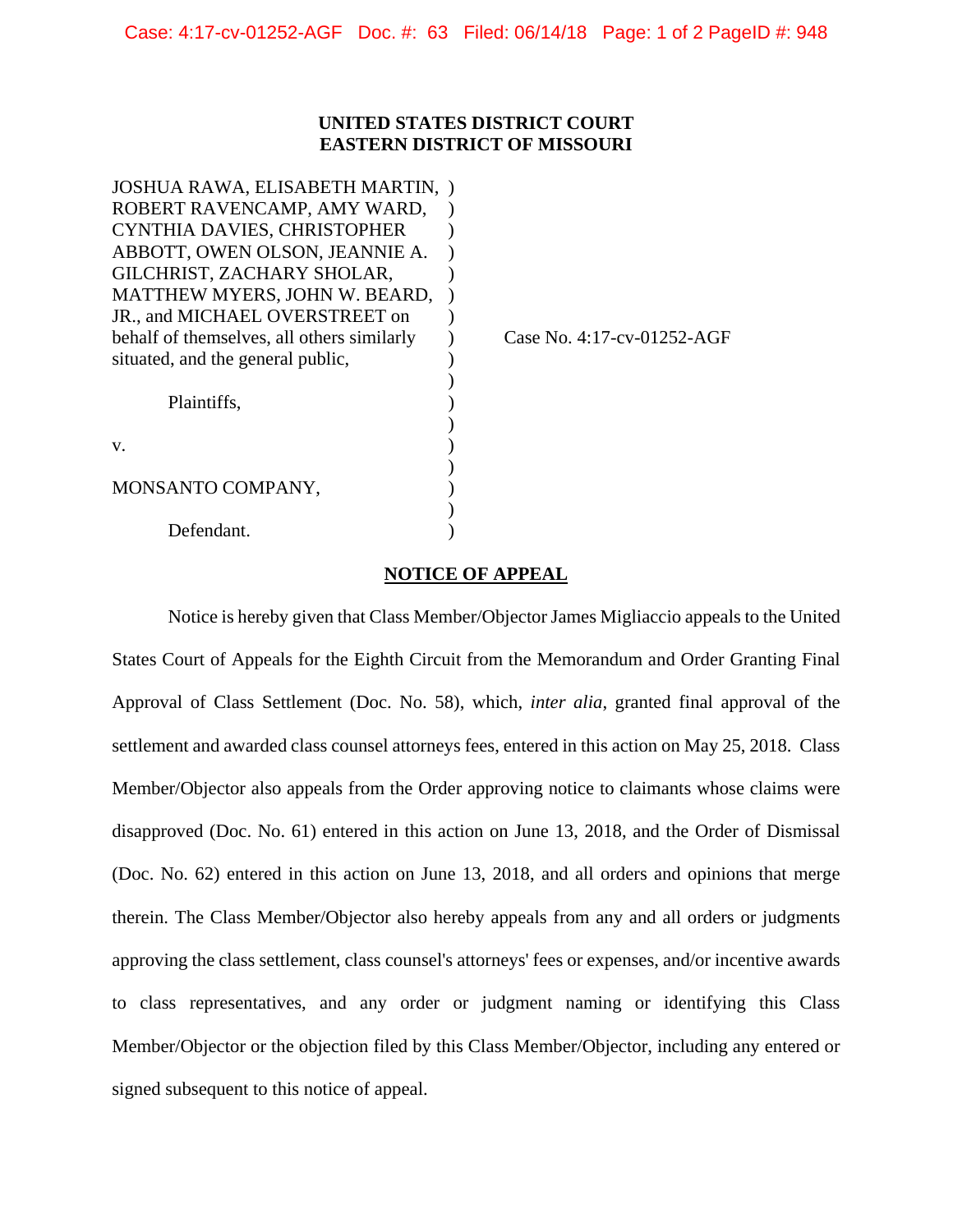## **UNITED STATES DISTRICT COURT EASTERN DISTRICT OF MISSOURI**

| JOSHUA RAWA, ELISABETH MARTIN,             |                            |
|--------------------------------------------|----------------------------|
| ROBERT RAVENCAMP, AMY WARD,                |                            |
| CYNTHIA DAVIES, CHRISTOPHER                |                            |
| ABBOTT, OWEN OLSON, JEANNIE A.             |                            |
| GILCHRIST, ZACHARY SHOLAR,                 |                            |
| MATTHEW MYERS, JOHN W. BEARD,              |                            |
| JR., and MICHAEL OVERSTREET on             |                            |
| behalf of themselves, all others similarly | Case No. 4:17-cv-01252-AGF |
| situated, and the general public,          |                            |
|                                            |                            |
| Plaintiffs.                                |                            |
|                                            |                            |
| V.                                         |                            |
|                                            |                            |
| MONSANTO COMPANY,                          |                            |
|                                            |                            |
| Defendant.                                 |                            |

## **NOTICE OF APPEAL**

Notice is hereby given that Class Member/Objector James Migliaccio appeals to the United States Court of Appeals for the Eighth Circuit from the Memorandum and Order Granting Final Approval of Class Settlement (Doc. No. 58), which, *inter alia*, granted final approval of the settlement and awarded class counsel attorneys fees, entered in this action on May 25, 2018. Class Member/Objector also appeals from the Order approving notice to claimants whose claims were disapproved (Doc. No. 61) entered in this action on June 13, 2018, and the Order of Dismissal (Doc. No. 62) entered in this action on June 13, 2018, and all orders and opinions that merge therein. The Class Member/Objector also hereby appeals from any and all orders or judgments approving the class settlement, class counsel's attorneys' fees or expenses, and/or incentive awards to class representatives, and any order or judgment naming or identifying this Class Member/Objector or the objection filed by this Class Member/Objector, including any entered or signed subsequent to this notice of appeal.